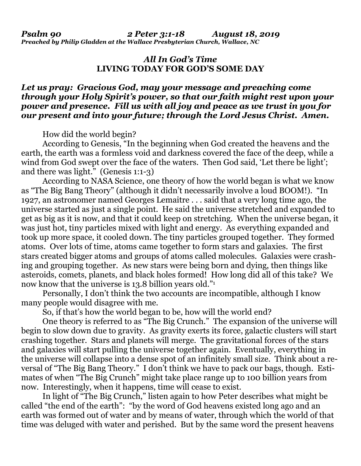*Preached by Philip Gladden at the Wallace Presbyterian Church, Wallace, NC*

## *All In God's Time* **LIVING TODAY FOR GOD'S SOME DAY**

## *Let us pray: Gracious God, may your message and preaching come through your Holy Spirit's power, so that our faith might rest upon your power and presence. Fill us with all joy and peace as we trust in you for our present and into your future; through the Lord Jesus Christ. Amen.*

How did the world begin?

According to Genesis, "In the beginning when God created the heavens and the earth, the earth was a formless void and darkness covered the face of the deep, while a wind from God swept over the face of the waters. Then God said, 'Let there be light'; and there was light." (Genesis 1:1-3)

According to NASA Science, one theory of how the world began is what we know as "The Big Bang Theory" (although it didn't necessarily involve a loud BOOM!). "In 1927, an astronomer named Georges Lemaitre . . . said that a very long time ago, the universe started as just a single point. He said the universe stretched and expanded to get as big as it is now, and that it could keep on stretching. When the universe began, it was just hot, tiny particles mixed with light and energy. As everything expanded and took up more space, it cooled down. The tiny particles grouped together. They formed atoms. Over lots of time, atoms came together to form stars and galaxies. The first stars created bigger atoms and groups of atoms called molecules. Galaxies were crashing and grouping together. As new stars were being born and dying, then things like asteroids, comets, planets, and black holes formed! How long did all of this take? We now know that the universe is 13.8 billion years old."<sup>1</sup>

Personally, I don't think the two accounts are incompatible, although I know many people would disagree with me.

So, if that's how the world began to be, how will the world end?

One theory is referred to as "The Big Crunch." The expansion of the universe will begin to slow down due to gravity. As gravity exerts its force, galactic clusters will start crashing together. Stars and planets will merge. The gravitational forces of the stars and galaxies will start pulling the universe together again. Eventually, everything in the universe will collapse into a dense spot of an infinitely small size. Think about a reversal of "The Big Bang Theory." I don't think we have to pack our bags, though. Estimates of when "The Big Crunch" might take place range up to 100 billion years from now. Interestingly, when it happens, time will cease to exist.

In light of "The Big Crunch," listen again to how Peter describes what might be called "the end of the earth": "by the word of God heavens existed long ago and an earth was formed out of water and by means of water, through which the world of that time was deluged with water and perished. But by the same word the present heavens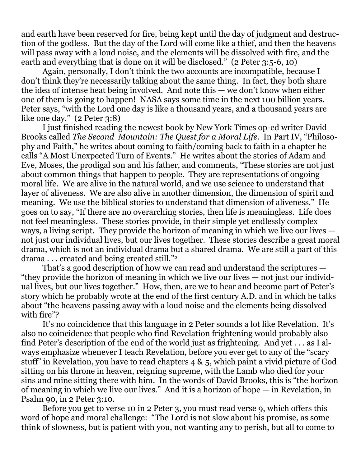and earth have been reserved for fire, being kept until the day of judgment and destruction of the godless. But the day of the Lord will come like a thief, and then the heavens will pass away with a loud noise, and the elements will be dissolved with fire, and the earth and everything that is done on it will be disclosed." (2 Peter 3:5-6, 10)

Again, personally, I don't think the two accounts are incompatible, because I don't think they're necessarily talking about the same thing. In fact, they both share the idea of intense heat being involved. And note this — we don't know when either one of them is going to happen! NASA says some time in the next 100 billion years. Peter says, "with the Lord one day is like a thousand years, and a thousand years are like one day." (2 Peter 3:8)

I just finished reading the newest book by New York Times op-ed writer David Brooks called *The Second Mountain: The Quest for a Moral Life*. In Part IV, "Philosophy and Faith," he writes about coming to faith/coming back to faith in a chapter he calls "A Most Unexpected Turn of Events." He writes about the stories of Adam and Eve, Moses, the prodigal son and his father, and comments, "These stories are not just about common things that happen to people. They are representations of ongoing moral life. We are alive in the natural world, and we use science to understand that layer of aliveness. We are also alive in another dimension, the dimension of spirit and meaning. We use the biblical stories to understand that dimension of aliveness." He goes on to say, "If there are no overarching stories, then life is meaningless. Life does not feel meaningless. These stories provide, in their simple yet endlessly complex ways, a living script. They provide the horizon of meaning in which we live our lives not just our individual lives, but our lives together. These stories describe a great moral drama, which is not an individual drama but a shared drama. We are still a part of this drama . . . created and being created still."<sup>2</sup>

That's a good description of how we can read and understand the scriptures — "they provide the horizon of meaning in which we live our lives — not just our individual lives, but our lives together." How, then, are we to hear and become part of Peter's story which he probably wrote at the end of the first century A.D. and in which he talks about "the heavens passing away with a loud noise and the elements being dissolved with fire"?

It's no coincidence that this language in 2 Peter sounds a lot like Revelation. It's also no coincidence that people who find Revelation frightening would probably also find Peter's description of the end of the world just as frightening. And yet . . . as I always emphasize whenever I teach Revelation, before you ever get to any of the "scary stuff" in Revelation, you have to read chapters 4 & 5, which paint a vivid picture of God sitting on his throne in heaven, reigning supreme, with the Lamb who died for your sins and mine sitting there with him. In the words of David Brooks, this is "the horizon of meaning in which we live our lives." And it is a horizon of hope — in Revelation, in Psalm 90, in 2 Peter 3:10.

Before you get to verse 10 in 2 Peter 3, you must read verse 9, which offers this word of hope and moral challenge: "The Lord is not slow about his promise, as some think of slowness, but is patient with you, not wanting any to perish, but all to come to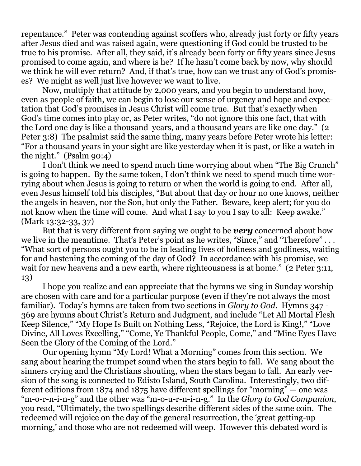repentance." Peter was contending against scoffers who, already just forty or fifty years after Jesus died and was raised again, were questioning if God could be trusted to be true to his promise. After all, they said, it's already been forty or fifty years since Jesus promised to come again, and where is he? If he hasn't come back by now, why should we think he will ever return? And, if that's true, how can we trust any of God's promises? We might as well just live however we want to live.

Now, multiply that attitude by 2,000 years, and you begin to understand how, even as people of faith, we can begin to lose our sense of urgency and hope and expectation that God's promises in Jesus Christ will come true. But that's exactly when God's time comes into play or, as Peter writes, "do not ignore this one fact, that with the Lord one day is like a thousand years, and a thousand years are like one day." (2) Peter 3:8) The psalmist said the same thing, many years before Peter wrote his letter: "For a thousand years in your sight are like yesterday when it is past, or like a watch in the night." (Psalm 90:4)

I don't think we need to spend much time worrying about when "The Big Crunch" is going to happen. By the same token, I don't think we need to spend much time worrying about when Jesus is going to return or when the world is going to end. After all, even Jesus himself told his disciples, "But about that day or hour no one knows, neither the angels in heaven, nor the Son, but only the Father. Beware, keep alert; for you do not know when the time will come. And what I say to you I say to all: Keep awake." (Mark 13:32-33, 37)

But that is very different from saying we ought to be *very* concerned about how we live in the meantime. That's Peter's point as he writes, "Since," and "Therefore" ... "What sort of persons ought you to be in leading lives of holiness and godliness, waiting for and hastening the coming of the day of God? In accordance with his promise, we wait for new heavens and a new earth, where righteousness is at home." (2 Peter 3:11, 13)

I hope you realize and can appreciate that the hymns we sing in Sunday worship are chosen with care and for a particular purpose (even if they're not always the most familiar). Today's hymns are taken from two sections in *Glory to God*. Hymns 347 - 369 are hymns about Christ's Return and Judgment, and include "Let All Mortal Flesh Keep Silence," "My Hope Is Built on Nothing Less, "Rejoice, the Lord is King!," "Love Divine, All Loves Excelling," "Come, Ye Thankful People, Come," and "Mine Eyes Have Seen the Glory of the Coming of the Lord."

Our opening hymn "My Lord! What a Morning" comes from this section. We sang about hearing the trumpet sound when the stars begin to fall. We sang about the sinners crying and the Christians shouting, when the stars began to fall. An early version of the song is connected to Edisto Island, South Carolina. Interestingly, two different editions from 1874 and 1875 have different spellings for "morning" — one was "m-o-r-n-i-n-g" and the other was "m-o-u-r-n-i-n-g." In the *Glory to God Companion*, you read, "Ultimately, the two spellings describe different sides of the same coin. The redeemed will rejoice on the day of the general resurrection, the 'great getting-up morning,' and those who are not redeemed will weep. However this debated word is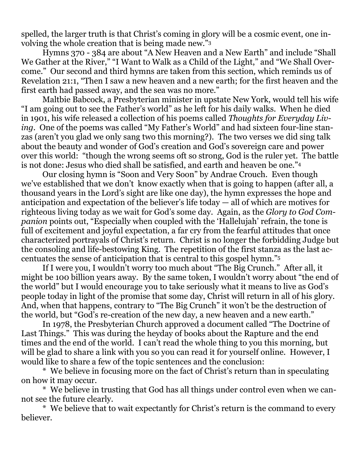spelled, the larger truth is that Christ's coming in glory will be a cosmic event, one involving the whole creation that is being made new."<sup>3</sup>

Hymns 370 - 384 are about "A New Heaven and a New Earth" and include "Shall We Gather at the River," "I Want to Walk as a Child of the Light," and "We Shall Overcome." Our second and third hymns are taken from this section, which reminds us of Revelation 21:1, "Then I saw a new heaven and a new earth; for the first heaven and the first earth had passed away, and the sea was no more."

Maltbie Babcock, a Presbyterian minister in upstate New York, would tell his wife "I am going out to see the Father's world" as he left for his daily walks. When he died in 1901, his wife released a collection of his poems called *Thoughts for Everyday Living*. One of the poems was called "My Father's World" and had sixteen four-line stanzas (aren't you glad we only sang two this morning?). The two verses we did sing talk about the beauty and wonder of God's creation and God's sovereign care and power over this world: "though the wrong seems oft so strong, God is the ruler yet. The battle is not done: Jesus who died shall be satisfied, and earth and heaven be one."<sup>4</sup>

Our closing hymn is "Soon and Very Soon" by Andrae Crouch. Even though we've established that we don't know exactly when that is going to happen (after all, a thousand years in the Lord's sight are like one day), the hymn expresses the hope and anticipation and expectation of the believer's life today — all of which are motives for righteous living today as we wait for God's some day. Again, as the *Glory to God Companion* points out, "Especially when coupled with the 'Hallelujah' refrain, the tone is full of excitement and joyful expectation, a far cry from the fearful attitudes that once characterized portrayals of Christ's return. Christ is no longer the forbidding Judge but the consoling and life-bestowing King. The repetition of the first stanza as the last accentuates the sense of anticipation that is central to this gospel hymn."<sup>5</sup>

If I were you, I wouldn't worry too much about "The Big Crunch." After all, it might be 100 billion years away. By the same token, I wouldn't worry about "the end of the world" but I would encourage you to take seriously what it means to live as God's people today in light of the promise that some day, Christ will return in all of his glory. And, when that happens, contrary to "The Big Crunch" it won't be the destruction of the world, but "God's re-creation of the new day, a new heaven and a new earth."

In 1978, the Presbyterian Church approved a document called "The Doctrine of Last Things." This was during the heyday of books about the Rapture and the end times and the end of the world. I can't read the whole thing to you this morning, but will be glad to share a link with you so you can read it for yourself online. However, I would like to share a few of the topic sentences and the conclusion:

\* We believe in focusing more on the fact of Christ's return than in speculating on how it may occur.

\* We believe in trusting that God has all things under control even when we cannot see the future clearly.

\* We believe that to wait expectantly for Christ's return is the command to every believer.